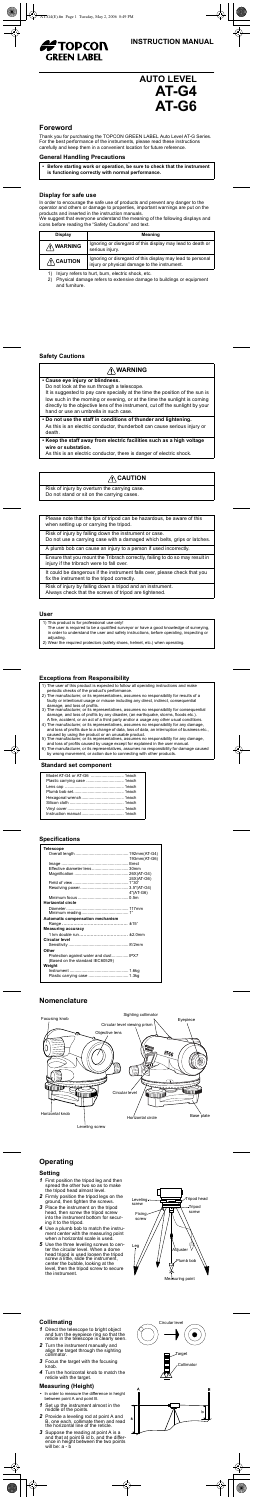

# **AUTO LEVEL AT-G4 AT-G6**

### **Foreword**

Thank you for purchasing the TOPCON GREEN LABEL Auto Level AT-G Series. For the best performance of the instruments, please read these instructions carefully and keep them in a convenient location for future reference.

#### **General Handling Precautions**

**• Before starting work or operation, be sure to check that the instrument is functioning correctly with normal performance.**

#### **Display for safe use**

In order to encourage the safe use of products and prevent any danger to the operator and others or damage to properties, important warnings are put on the products and inserted in the instruction manuals.

We suggest that everyone understand the meaning of the following displays and icons before reading the "Safety Cautions" and text.

1) Injury refers to hurt, burn, electric shock, etc.

2) Physical damage refers to extensive damage to buildings or equipment and furniture.

| <b>Display</b>      | Meaning                                                                                                    |  |  |  |  |
|---------------------|------------------------------------------------------------------------------------------------------------|--|--|--|--|
| $\bigwedge$ WARNING | Ignoring or disregard of this display may lead to death or<br>serious injury.                              |  |  |  |  |
| $\bigwedge$ CAUTION | Ignoring or disregard of this display may lead to personal<br>injury or physical damage to the instrument. |  |  |  |  |

#### **Safety Cautions**

### **WARNING**

| • Cause eye injury or blindness.<br>Do not look at the sun through a telescope.<br>It is suggested to pay care specially at the time the position of the sun is<br>low such in the morning or evening, or at the time the sunlight is coming<br>directly to the objective lens of the instrument, cut off the sunlight by your<br>hand or use an umbrella in such case. |
|-------------------------------------------------------------------------------------------------------------------------------------------------------------------------------------------------------------------------------------------------------------------------------------------------------------------------------------------------------------------------|
| . Do not use the staff in conditions of thunder and lightening.<br>As this is an electric conductor, thunderbolt can cause serious injury or<br>death.                                                                                                                                                                                                                  |
| • Keep the staff away from electric facilities such as a high voltage<br>wire or substation.<br>As this is an electric conductor, there is danger of electric shock.                                                                                                                                                                                                    |

## **CAUTION**

Risk of injury by overturn the carrying case. Do not stand or sit on the carrying cases.

## **User**

Please note that the tips of tripod can be hazardous, be aware of this when setting up or carrying the tripod.

Risk of injury by falling down the instrument or case. Do not use a carrying case with a damaged which belts, grips or latches.

|  |  |  |  | A plumb bob can cause an injury to a person if used incorrectly. |  |  |
|--|--|--|--|------------------------------------------------------------------|--|--|
|  |  |  |  |                                                                  |  |  |

Ensure that you mount the Tribrach correctly, failing to do so may result in injury if the tribrach were to fall over.

It could be dangerous if the instrument falls over, please check that you fix the instrument to the tripod correctly.

Risk of injury by falling down a tripod and an instrument. Always check that the screws of tripod are tightened.

- 1) This product is for professional use only!
- The user is required to be a qualified surveyor or have a good knowledge of surveying, in order to understand the user and safety instructions, before operating, inspecting or adjusting.
- 2) Wear the required protectors (safety shoes, helmet, etc.) when operating.

## **Exceptions from Responsibility**

## **Standard set component**

- 1) The user of this product is expected to follow all operating instructions and make
- periodic checks of the product's performance.
- 2) The manufacturer, or its representatives, assumes no responsibility for results of a faulty or intentional usage or misuse including any direct, indirect, consequential damage, and loss of profits.
- 3) The manufacturer, or its representatives, assumes no responsibility for consequential damage, and loss of profits by any disaster, (an earthquake, storms, floods etc.). A fire, accident, or an act of a third party and/or a usage any other usual conditions.
- 4) The manufacturer, or its representatives, assumes no responsibility for any damage, and loss of profits due to a change of data, loss of data, an interruption of business etc., caused by using the product or an unusable product.
- 5) The manufacturer, or its representatives, assumes no responsibility for any damage, and loss of profits caused by usage except for explained in the user manual.
- 6) The manufacturer, or its representatives, assumes no responsibility for damage caused by wrong movement, or action due to connecting with other products.

- **1** Direct the telescope to bright object and turn the eyepiece ring so that the reticle in the telescope is clearly seen.
- *2* Turn the instrument manually and align the target through the sighting collimator.
- *3* Focus the target with the focusing knob.
- *4* Turn the horizontal knob to match the reticle with the target.

### **Specifications**

| Telescope                               |              |
|-----------------------------------------|--------------|
|                                         |              |
|                                         | 193mm(AT-G6) |
|                                         |              |
| Effective diameter lens  30mm           |              |
|                                         |              |
|                                         | 24X(AT-G6)   |
|                                         |              |
|                                         |              |
|                                         | 4"(AT-G6)    |
|                                         |              |
| Horizontal circle                       |              |
|                                         |              |
|                                         |              |
| Automatic compensation mechanism        |              |
|                                         |              |
| <b>Measuring accuracy</b>               |              |
|                                         |              |
| Circular level                          |              |
|                                         |              |
| Other                                   |              |
| Protection against water and dust  IPX7 |              |
| (Based on the standard IEC60529)        |              |
| Weight                                  |              |
|                                         |              |
|                                         |              |
|                                         |              |

## **Nomenclature**



## **Operating**

## **Setting**

- *1* First position the tripod leg and then spread the other two so as to make the tripod head almost level.
- *2* Firmly position the tripod legs on the ground, then tighten the screws.
- *3* Place the instrument on the tripod head, then screw the tripod screw into the instrument bottom for securing it to the tripod.
- *4* Use a plumb bob to match the instrument center with the measuring point when a horizontal scale is used.
- *5* Use the three leveling screws to cen-ter the circular level. When a dome head tripod is used loosen the tripod screw a little, slide the instrument, center the bubble, looking at the level, then the tripod screw to secure the instrument.



## **Collimating**

### **Measuring (Height)**

- **•** In order to measure the difference in height between point A and point B.
- *1* Set up the instrument almost in the middle of the points.
- *2* Provide a leveling rod at point A and B, one each, collimate them and read the horizontal line of the reticle.
- *3* Suppose the reading at point A is a and that at point B id b, and the difference in height between the two points will be: a - b